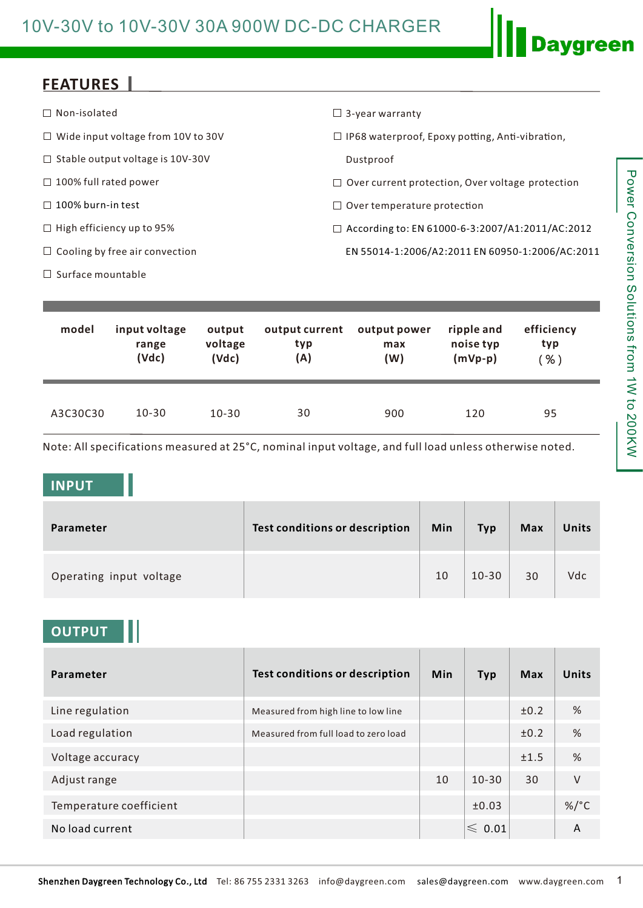## 10V-30V to 10V-30V 30A 900W DC-DC CHARGER

### **FEATURES**

| $\Box$ Non-isolated                       | $\Box$ 3-year warranty                                  |
|-------------------------------------------|---------------------------------------------------------|
| $\Box$ Wide input voltage from 10V to 30V | $\Box$ IP68 waterproof, Epoxy potting, Anti-vibration,  |
| $\Box$ Stable output voltage is 10V-30V   | Dustproof                                               |
| $\Box$ 100% full rated power              | $\Box$ Over current protection, Over voltage protection |
| $\Box$ 100% burn-in test                  | $\Box$ Over temperature protection                      |
| $\Box$ High efficiency up to 95%          | $\Box$ According to: EN 61000-6-3:2007/A1:2011/AC:2012  |
| $\Box$ Cooling by free air convection     | EN 55014-1:2006/A2:2011 EN 60950-1:2006/AC:2011         |
| $\Box$ Surface mountable                  |                                                         |

| model    | input voltage | output    | output current | output power | ripple and | efficiency |
|----------|---------------|-----------|----------------|--------------|------------|------------|
|          | range         | voltage   | typ            | max          | noise typ  | typ        |
|          | (Vdc)         | (Vdc)     | (A)            | (W)          | $(mVp-p)$  | $%$ )      |
| A3C30C30 | $10 - 30$     | $10 - 30$ | 30             | 900          | 120        | 95         |

Note: All specifications measured at 25°C, nominal input voltage, and full load unless otherwise noted.

#### **INPUT**

| Parameter               | <b>Test conditions or description</b> | Min | <b>Typ</b> | <b>Max</b> | Units |
|-------------------------|---------------------------------------|-----|------------|------------|-------|
| Operating input voltage |                                       | 10  | $10 - 30$  | 30         | Vdc   |

### **OUTPUT**

| Parameter               | <b>Test conditions or description</b> | <b>Min</b> | <b>Typ</b>       | Max  | Units           |
|-------------------------|---------------------------------------|------------|------------------|------|-----------------|
| Line regulation         | Measured from high line to low line   |            |                  | ±0.2 | %               |
| Load regulation         | Measured from full load to zero load  |            |                  | ±0.2 | %               |
| Voltage accuracy        |                                       |            |                  | ±1.5 | %               |
| Adjust range            |                                       | 10         | $10 - 30$        | 30   | $\vee$          |
| Temperature coefficient |                                       |            | ±0.03            |      | %/ $^{\circ}$ C |
| No load current         |                                       |            | $\leqslant$ 0.01 |      | A               |

**Daygreen**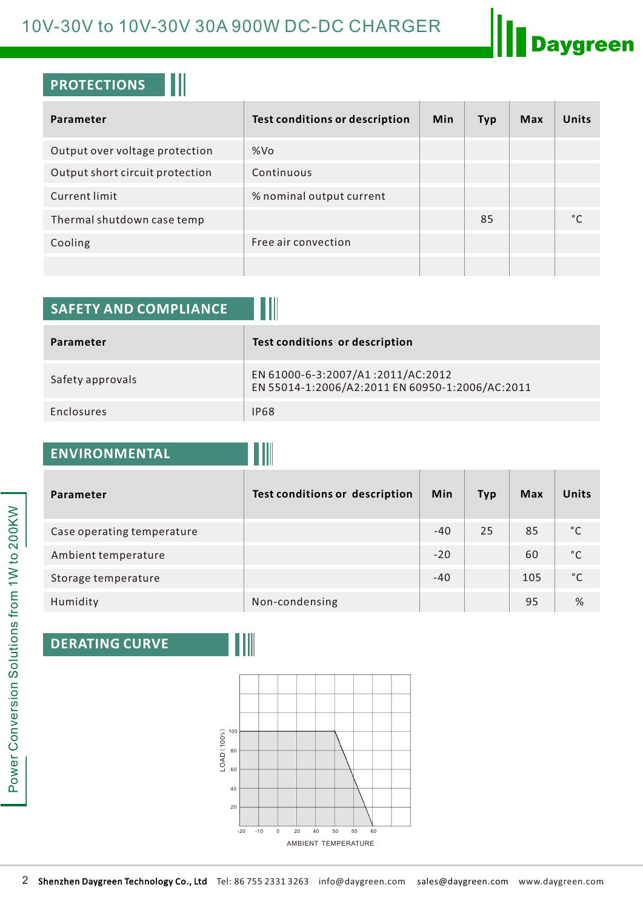# 10V-30V to 10V-30V 30A 900W DC-DC CHARGER



### **PROTECTIONS**

| Parameter                       | <b>Test conditions or description</b> | <b>Min</b> | <b>Typ</b> | Max | Units |
|---------------------------------|---------------------------------------|------------|------------|-----|-------|
| Output over voltage protection  | %Vo                                   |            |            |     |       |
| Output short circuit protection | Continuous                            |            |            |     |       |
| Current limit                   | % nominal output current              |            |            |     |       |
| Thermal shutdown case temp      |                                       |            | 85         |     |       |
| Cooling                         | Free air convection                   |            |            |     |       |
|                                 |                                       |            |            |     |       |

| <b>SAFETY AND COMPLIANCE</b> |                                                                                      |
|------------------------------|--------------------------------------------------------------------------------------|
| Parameter                    | Test conditions or description                                                       |
| Safety approvals             | EN 61000-6-3:2007/A1:2011/AC:2012<br>EN 55014-1:2006/A2:2011 EN 60950-1:2006/AC:2011 |
| <b>Enclosures</b>            | <b>IP68</b>                                                                          |

## **ENVIRONMENTAL**

| Parameter                  | Test conditions or description | <b>Min</b> | <b>Typ</b> | <b>Max</b> | <b>Units</b> |
|----------------------------|--------------------------------|------------|------------|------------|--------------|
| Case operating temperature |                                | $-40$      | 25         | 85         | °C           |
| Ambient temperature        |                                | $-20$      |            | 60         | °C           |
| Storage temperature        |                                | $-40$      |            | 105        | °C           |
| Humidity                   | Non-condensing                 |            |            | 95         | %            |

### **DERATING CURVE**